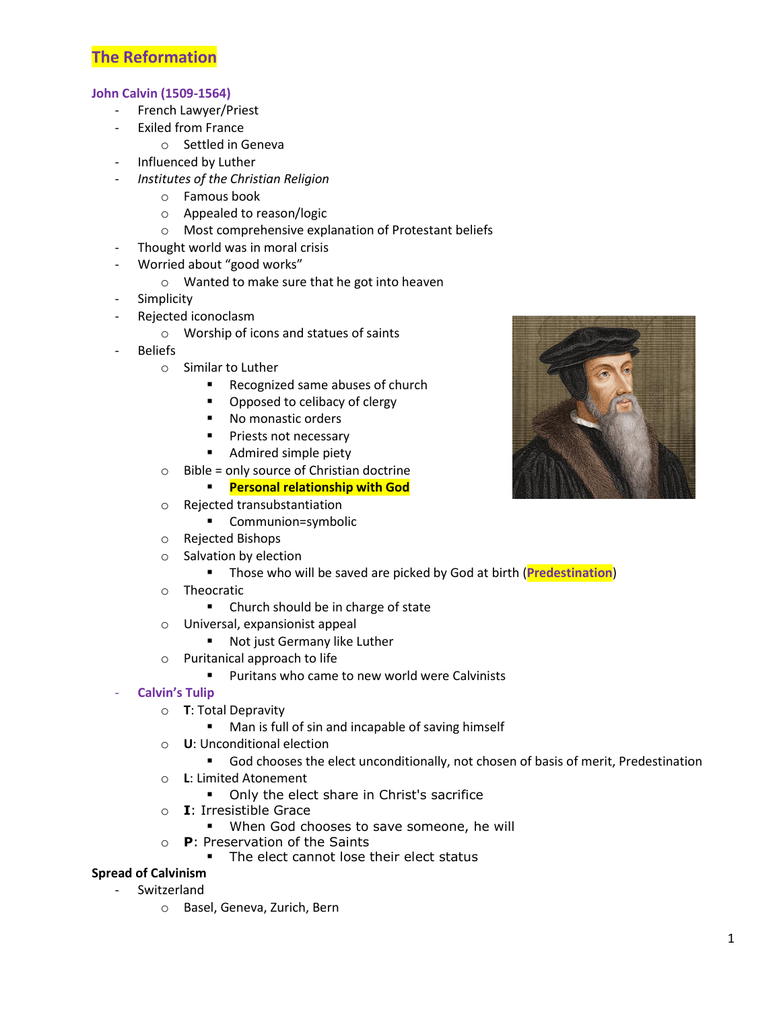## **The Reformation**

### **John Calvin (1509-1564)**

- French Lawyer/Priest
- Exiled from France
	- o Settled in Geneva
	- Influenced by Luther
- *Institutes of the Christian Religion*
	- o Famous book
	- o Appealed to reason/logic
	- o Most comprehensive explanation of Protestant beliefs
- Thought world was in moral crisis
- Worried about "good works"
	- o Wanted to make sure that he got into heaven
- Simplicity
- Rejected iconoclasm
	- o Worship of icons and statues of saints
- **Beliefs** 
	- o Similar to Luther
		- **Recognized same abuses of church**
		- Opposed to celibacy of clergy
		- No monastic orders
		- **Priests not necessary**
		- **Admired simple piety**
	- $\circ$  Bible = only source of Christian doctrine
		- **Personal relationship with God**
	- o Rejected transubstantiation
		- Communion=symbolic
	- o Rejected Bishops
	- o Salvation by election
		- Those who will be saved are picked by God at birth (**Predestination**)
	- o Theocratic
		- Church should be in charge of state
	- o Universal, expansionist appeal
		- Not just Germany like Luther
	- o Puritanical approach to life
		- **Puritans who came to new world were Calvinists**
- **Calvin's Tulip**
	- o **T**: Total Depravity
		- **Man is full of sin and incapable of saving himself**
	- o **U**: Unconditional election
		- God chooses the elect unconditionally, not chosen of basis of merit, Predestination
	- o **L**: Limited Atonement
		- Only the elect share in Christ's sacrifice
	- o **I**: Irresistible Grace
		- **When God chooses to save someone, he will**
	- o **P**: Preservation of the Saints
		- The elect cannot lose their elect status

### **Spread of Calvinism**

- **Switzerland** 
	- o Basel, Geneva, Zurich, Bern

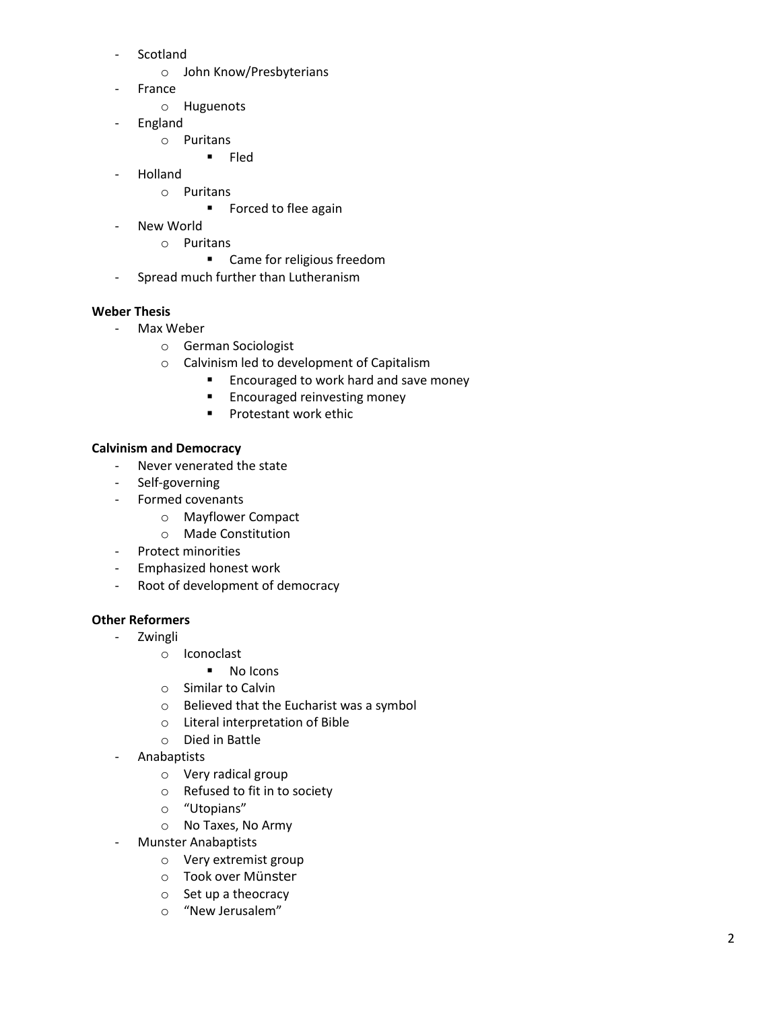- Scotland
	- o John Know/Presbyterians
- **France** 
	- o Huguenots
- England
	- o Puritans
		- $F$  Fled
- Holland
	- o Puritans
		- **Forced to flee again**
- New World
	- o Puritans
		- Came for religious freedom
- Spread much further than Lutheranism

### **Weber Thesis**

- Max Weber
	- o German Sociologist
	- o Calvinism led to development of Capitalism
		- **Encouraged to work hard and save money**
		- **Encouraged reinvesting money**
		- **Protestant work ethic**

### **Calvinism and Democracy**

- Never venerated the state
- Self-governing
- Formed covenants
	- o Mayflower Compact
	- o Made Constitution
- Protect minorities
- Emphasized honest work
- Root of development of democracy

### **Other Reformers**

- Zwingli
	- o Iconoclast
		- **No Icons**
	- o Similar to Calvin
	- o Believed that the Eucharist was a symbol
	- o Literal interpretation of Bible
	- o Died in Battle
- Anabaptists
	- o Very radical group
	- o Refused to fit in to society
	- o "Utopians"
	- o No Taxes, No Army
- Munster Anabaptists
	- o Very extremist group
	- o Took over Münster
	- o Set up a theocracy
	- o "New Jerusalem"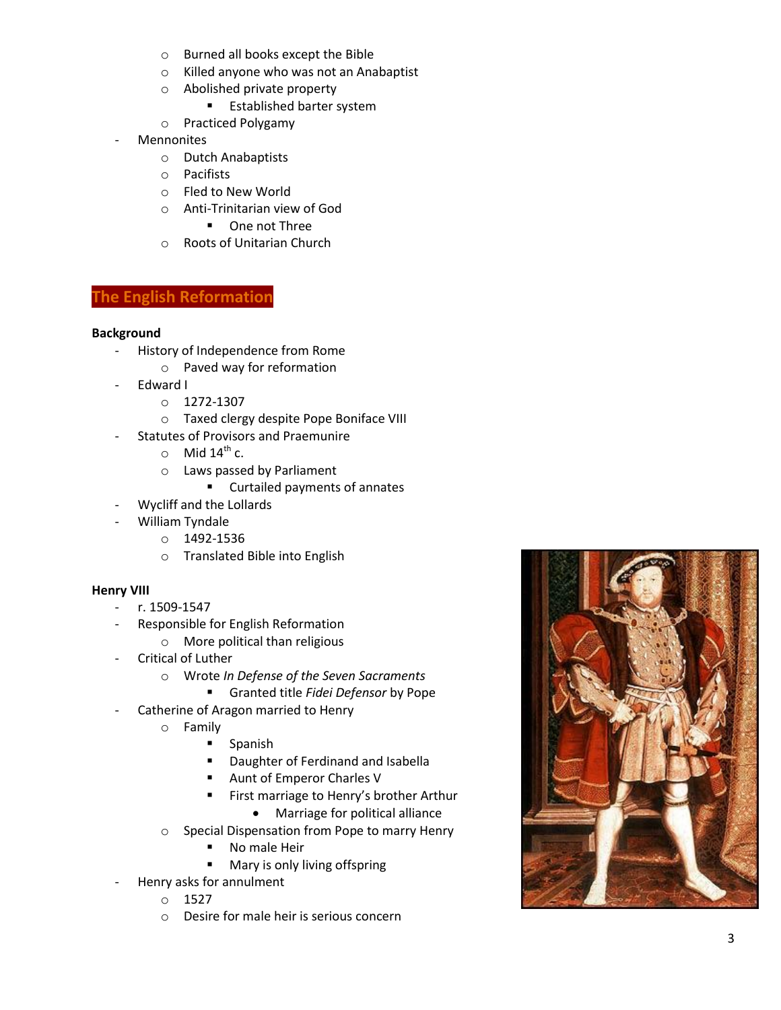- o Burned all books except the Bible
- o Killed anyone who was not an Anabaptist
- o Abolished private property
	- **Established barter system**
- o Practiced Polygamy
- **Mennonites** 
	- o Dutch Anabaptists
	- o Pacifists
	- o Fled to New World
	- o Anti-Trinitarian view of God
		- **•** One not Three
	- o Roots of Unitarian Church

## **The English Reformation**

### **Background**

- History of Independence from Rome
	- o Paved way for reformation
- Edward I
	- o 1272-1307
	- o Taxed clergy despite Pope Boniface VIII
- Statutes of Provisors and Praemunire
	- $\circ$  Mid 14<sup>th</sup> c.
	- o Laws passed by Parliament
		- **EXECUTED EXECUTED EXECUTED** Curtailed payments of annates
- Wycliff and the Lollards
- William Tyndale
	- o 1492-1536
		- o Translated Bible into English

### **Henry VIII**

- r. 1509 -1547
- Responsible for English Reformation
	- o More political than religious
- Critical of Luther
	- o Wrote *In Defense of the Seven Sacraments*
	- Granted title *Fidei Defensor* by Pope
	- Catherine of Aragon married to Henry
		- o Family
			- **Spanish**
			- **•** Daughter of Ferdinand and Isabella
			- Aunt of Emperor Charles V
			- **First marriage to Henry's brother Arthur** 
				- Marriage for political alliance
		- o Special Dispensation from Pope to marry Henry
			- **No male Heir**
			- **Mary is only living offspring**
	- Henry asks for annulment
		- $\circ$  1527
		- o Desire for male heir is serious concern

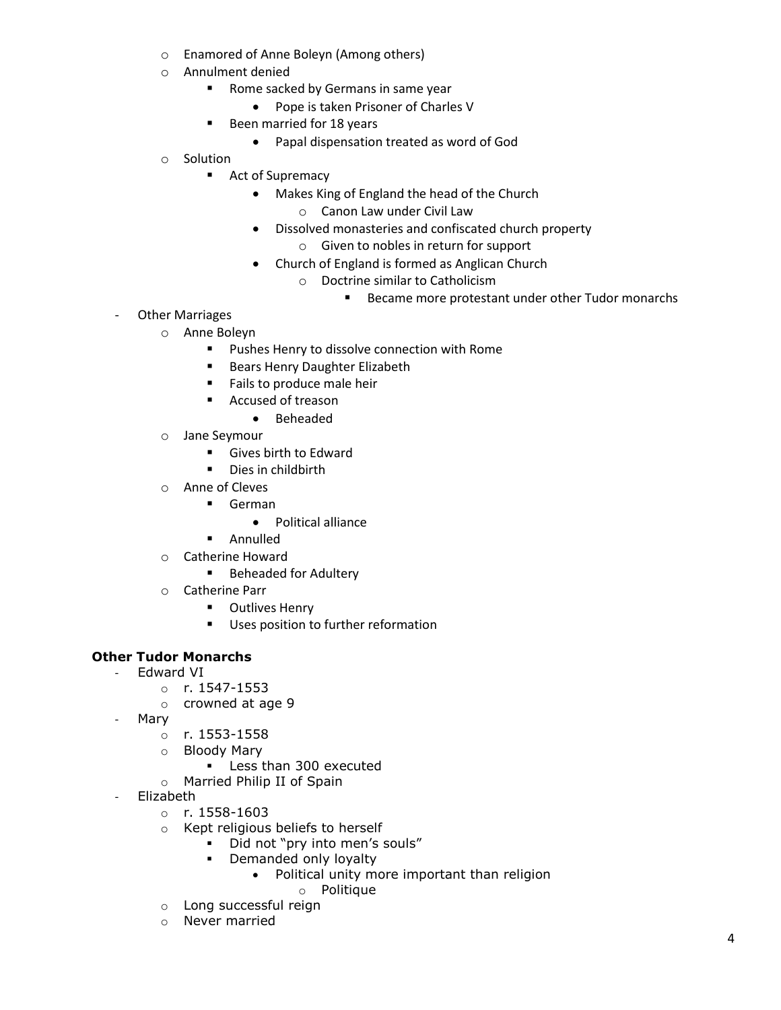- o Enamored of Anne Boleyn (Among others)
- o Annulment denied
	- **Rome sacked by Germans in same year** 
		- Pope is taken Prisoner of Charles V
	- Been married for 18 years
		- Papal dispensation treated as word of God
- o Solution
	- Act of Supremacy
		- Makes King of England the head of the Church o Canon Law under Civil Law
		- Dissolved monasteries and confiscated church property
			- o Given to nobles in return for support
		- Church of England is formed as Anglican Church
			- o Doctrine similar to Catholicism
				- Became more protestant under other Tudor monarchs
- Other Marriages
	- o Anne Boleyn
		- **Pushes Henry to dissolve connection with Rome**
		- **Bears Henry Daughter Elizabeth**
		- Fails to produce male heir
		- Accused of treason
			- Beheaded
	- o Jane Seymour
		- Gives birth to Edward
		- **Dies in childbirth**
	- o Anne of Cleves
		- German
			- Political alliance
		- **-** Annulled
	- o Catherine Howard
		- **Beheaded for Adultery**
	- o Catherine Parr
		- **•** Outlives Henry
		- **Uses position to further reformation**

### **Other Tudor Monarchs**

- Edward VI
	- o r. 1547-1553
	- o crowned at age 9
- Mary
	- o r. 1553-1558
	- o Bloody Mary
		- **Less than 300 executed**
	- o Married Philip II of Spain
	- Elizabeth
		- $o$  r. 1558-1603
		- o Kept religious beliefs to herself
			- Did not "pry into men's souls"
			- Demanded only loyalty
				- Political unity more important than religion
					- o Politique
		- o Long successful reign
		- o Never married